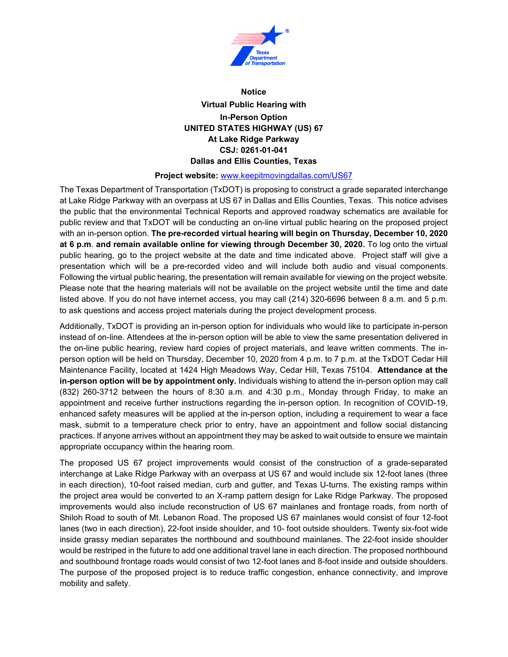

## **Notice Virtual Public Hearing with In-Person Option UNITED STATES HIGHWAY (US) 67 At Lake Ridge Parkway CSJ: 0261-01-041 Dallas and Ellis Counties, Texas**

## **Project website:** [www.keepitmovingdallas.com/US67](http://www.keepitmovingdallas.com/US67)

The Texas Department of Transportation (TxDOT) is proposing to construct a grade separated interchange at Lake Ridge Parkway with an overpass at US 67 in Dallas and Ellis Counties, Texas. This notice advises the public that the environmental Technical Reports and approved roadway schematics are available for public review and that TxDOT will be conducting an on-line virtual public hearing on the proposed project with an in-person option. **The pre-recorded virtual hearing will begin on Thursday, December 10, 2020 at 6 p.m**. **and remain available online for viewing through December 30, 2020.** To log onto the virtual public hearing, go to the project website at the date and time indicated above. Project staff will give a presentation which will be a pre-recorded video and will include both audio and visual components. Following the virtual public hearing, the presentation will remain available for viewing on the project website. Please note that the hearing materials will not be available on the project website until the time and date listed above. If you do not have internet access, you may call (214) 320-6696 between 8 a.m. and 5 p.m. to ask questions and access project materials during the project development process.

Additionally, TxDOT is providing an in-person option for individuals who would like to participate in-person instead of on-line. Attendees at the in-person option will be able to view the same presentation delivered in the on-line public hearing, review hard copies of project materials, and leave written comments. The inperson option will be held on Thursday, December 10, 2020 from 4 p.m. to 7 p.m. at the TxDOT Cedar Hill Maintenance Facility, located at 1424 High Meadows Way, Cedar Hill, Texas 75104. **Attendance at the in-person option will be by appointment only.** Individuals wishing to attend the in-person option may call (832) 260-3712 between the hours of 8:30 a.m. and 4:30 p.m., Monday through Friday, to make an appointment and receive further instructions regarding the in-person option. In recognition of COVID-19, enhanced safety measures will be applied at the in-person option, including a requirement to wear a face mask, submit to a temperature check prior to entry, have an appointment and follow social distancing practices. If anyone arrives without an appointment they may be asked to wait outside to ensure we maintain appropriate occupancy within the hearing room.

The proposed US 67 project improvements would consist of the construction of a grade-separated interchange at Lake Ridge Parkway with an overpass at US 67 and would include six 12-foot lanes (three in each direction), 10-foot raised median, curb and gutter, and Texas U-turns. The existing ramps within the project area would be converted to an X-ramp pattern design for Lake Ridge Parkway. The proposed improvements would also include reconstruction of US 67 mainlanes and frontage roads, from north of Shiloh Road to south of Mt. Lebanon Road. The proposed US 67 mainlanes would consist of four 12-foot lanes (two in each direction), 22-foot inside shoulder, and 10- foot outside shoulders. Twenty six-foot wide inside grassy median separates the northbound and southbound mainlanes. The 22-foot inside shoulder would be restriped in the future to add one additional travel lane in each direction. The proposed northbound and southbound frontage roads would consist of two 12-foot lanes and 8-foot inside and outside shoulders. The purpose of the proposed project is to reduce traffic congestion, enhance connectivity, and improve mobility and safety.